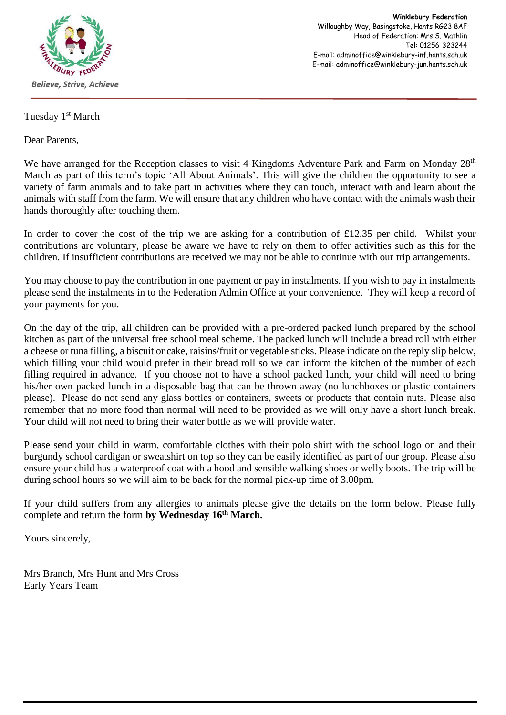

**Winklebury Federation** Willoughby Way, Basingstoke, Hants RG23 8AF Head of Federation: Mrs S. Mathlin Tel: 01256 323244 E-mail: adminoffice@winklebury-inf.hants.sch.uk E-mail: adminoffice@winklebury-jun.hants.sch.uk

Tuesday 1<sup>st</sup> March

Dear Parents,

We have arranged for the Reception classes to visit 4 Kingdoms Adventure Park and Farm on Monday 28<sup>th</sup> March as part of this term's topic 'All About Animals'. This will give the children the opportunity to see a variety of farm animals and to take part in activities where they can touch, interact with and learn about the animals with staff from the farm. We will ensure that any children who have contact with the animals wash their hands thoroughly after touching them.

In order to cover the cost of the trip we are asking for a contribution of £12.35 per child. Whilst your contributions are voluntary, please be aware we have to rely on them to offer activities such as this for the children. If insufficient contributions are received we may not be able to continue with our trip arrangements.

You may choose to pay the contribution in one payment or pay in instalments. If you wish to pay in instalments please send the instalments in to the Federation Admin Office at your convenience. They will keep a record of your payments for you.

On the day of the trip, all children can be provided with a pre-ordered packed lunch prepared by the school kitchen as part of the universal free school meal scheme. The packed lunch will include a bread roll with either a cheese or tuna filling, a biscuit or cake, raisins/fruit or vegetable sticks. Please indicate on the reply slip below, which filling your child would prefer in their bread roll so we can inform the kitchen of the number of each filling required in advance. If you choose not to have a school packed lunch, your child will need to bring his/her own packed lunch in a disposable bag that can be thrown away (no lunchboxes or plastic containers please). Please do not send any glass bottles or containers, sweets or products that contain nuts. Please also remember that no more food than normal will need to be provided as we will only have a short lunch break. Your child will not need to bring their water bottle as we will provide water.

Please send your child in warm, comfortable clothes with their polo shirt with the school logo on and their burgundy school cardigan or sweatshirt on top so they can be easily identified as part of our group. Please also ensure your child has a waterproof coat with a hood and sensible walking shoes or welly boots. The trip will be during school hours so we will aim to be back for the normal pick-up time of 3.00pm.

If your child suffers from any allergies to animals please give the details on the form below. Please fully complete and return the form **by Wednesday 16th March.**

Yours sincerely,

Mrs Branch, Mrs Hunt and Mrs Cross Early Years Team